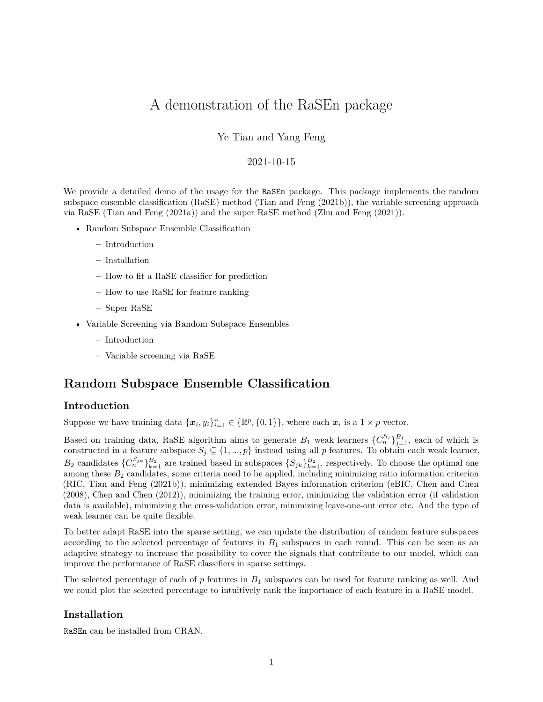# A demonstration of the RaSEn package

## Ye Tian and Yang Feng

### 2021-10-15

We provide a detailed demo of the usage for the RaSE npackage. This package implements the random subspace ensemble classification (RaSE) method (Tian and Feng (2021b)), the variable screening approach via RaSE (Tian and Feng (2021a)) and the super RaSE method (Zhu and Feng (2021)).

- [Random Subspace Ensemble Classification](#page-0-0)
	- **–** [Introduction](#page-0-1)
	- **–** [Installation](#page-0-2)
	- **–** [How to fit a RaSE classifier for prediction](#page-1-0)
	- **–** [How to use RaSE for feature ranking](#page-4-0)
	- **–** [Super RaSE](#page-5-0)
- [Variable Screening via Random Subspace Ensembles](#page-6-0)
	- **–** [Introduction](#page-6-1)
	- **–** [Variable screening via RaSE](#page-6-2)

# <span id="page-0-0"></span>**Random Subspace Ensemble Classification**

#### <span id="page-0-1"></span>**Introduction**

Suppose we have training data  $\{\boldsymbol{x}_i, y_i\}_{i=1}^n \in \{\mathbb{R}^p, \{0,1\}\}\$ , where each  $\boldsymbol{x}_i$  is a  $1 \times p$  vector.

Based on training data, RaSE algorithm aims to generate  $B_1$  weak learners  $\{C_n^{S_j}\}_{j=1}^{B_1}$ , each of which is constructed in a feature subspace  $S_j \subseteq \{1, ..., p\}$  instead using all *p* features. To obtain each weak learner,  $B_2$  candidates  $\{C_n^{S_{jk}}\}_{k=1}^{B_2}$  are trained based in subspaces  $\{S_{jk}\}_{k=1}^{B_2}$ , respectively. To choose the optimal one among these  $B_2$  candidates, some criteria need to be applied, including minimizing ratio information criterion (RIC, Tian and Feng (2021b)), minimizing extended Bayes information criterion (eBIC, Chen and Chen (2008), Chen and Chen (2012)), minimizing the training error, minimizing the validation error (if validation data is available), minimizing the cross-validation error, minimizing leave-one-out error etc. And the type of weak learner can be quite flexible.

To better adapt RaSE into the sparse setting, we can update the distribution of random feature subspaces according to the selected percentage of features in  $B_1$  subspaces in each round. This can be seen as an adaptive strategy to increase the possibility to cover the signals that contribute to our model, which can improve the performance of RaSE classifiers in sparse settings.

The selected percentage of each of *p* features in *B*<sup>1</sup> subspaces can be used for feature ranking as well. And we could plot the selected percentage to intuitively rank the importance of each feature in a RaSE model.

#### <span id="page-0-2"></span>**Installation**

RaSEn can be installed from CRAN.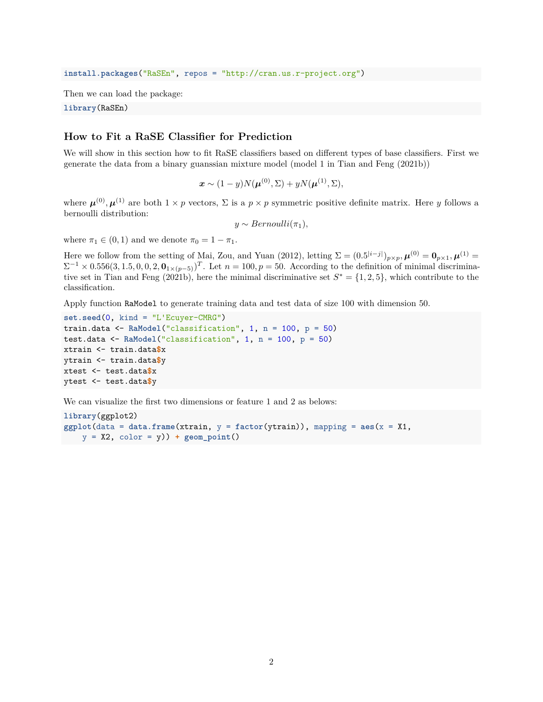**install.packages**("RaSEn", repos = "http://cran.us.r-project.org")

Then we can load the package:

<span id="page-1-0"></span>**library**(RaSEn)

# **How to Fit a RaSE Classifier for Prediction**

We will show in this section how to fit RaSE classifiers based on different types of base classifiers. First we generate the data from a binary guanssian mixture model (model 1 in Tian and Feng (2021b))

 $\bm{x} \sim (1-y)N(\bm{\mu}^{(0)}, \Sigma) + yN(\bm{\mu}^{(1)}, \Sigma),$ 

where  $\mu^{(0)}, \mu^{(1)}$  are both  $1 \times p$  vectors,  $\Sigma$  is a  $p \times p$  symmetric positive definite matrix. Here *y* follows a bernoulli distribution:

$$
y \sim Bernoulli(\pi_1),
$$

where  $\pi_1 \in (0, 1)$  and we denote  $\pi_0 = 1 - \pi_1$ .

Here we follow from the setting of Mai, Zou, and Yuan (2012), letting  $\Sigma = (0.5^{|i-j|})_{p \times p}$ ,  $\mu^{(0)} = \mathbf{0}_{p \times 1}$ ,  $\mu^{(1)} =$  $\Sigma^{-1} \times 0.556(3, 1.5, 0, 0, 2, \mathbf{0}_{1 \times (p-5)})^T$ . Let  $n = 100, p = 50$ . According to the definition of minimal discriminative set in Tian and Feng  $(20\tilde{21b})$ , here the minimal discriminative set  $S^* = \{1, 2, 5\}$ , which contribute to the classification.

Apply function RaModel to generate training data and test data of size 100 with dimension 50.

```
set.seed(0, kind = "L'Ecuyer-CMRG")
train.data <- RaModel("classification", 1, n = 100, p = 50)
test.data <- RaModel("classification", 1, n = 100, p = 50)
xtrain <- train.data$x
ytrain <- train.data$y
xtest <- test.data$x
ytest <- test.data$y
```
We can visualize the first two dimensions or feature 1 and 2 as belows:

```
library(ggplot2)
ggplot(data = data.frame(xtrain, y = factor(ytrain)), mapping = aes(x = X1,
   y = X2, color = y)) + geom_point()
```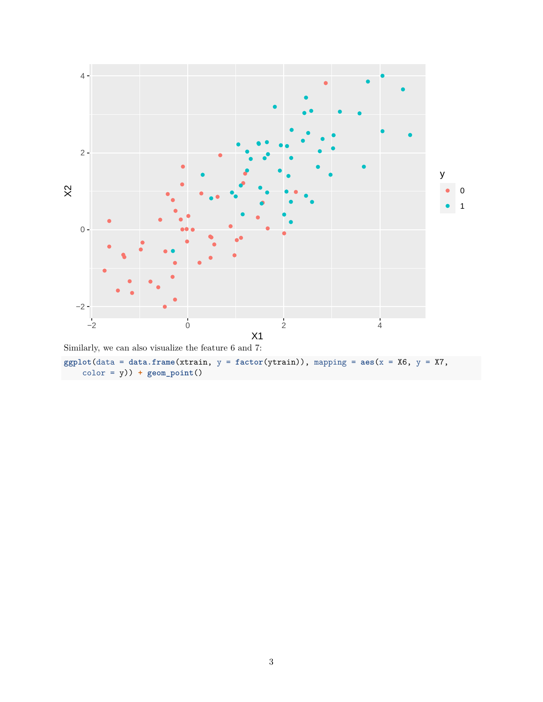

color = y)) **+ geom\_point**()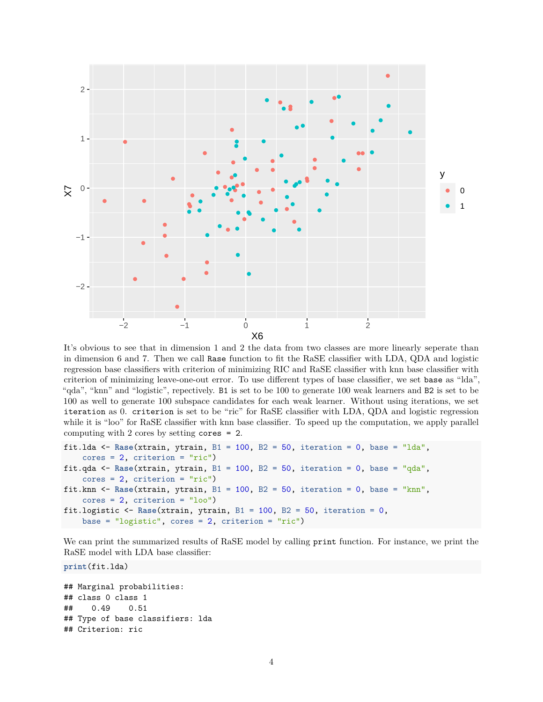

It's obvious to see that in dimension 1 and 2 the data from two classes are more linearly seperate than in dimension 6 and 7. Then we call Rase function to fit the RaSE classifier with LDA, QDA and logistic regression base classifiers with criterion of minimizing RIC and RaSE classifier with knn base classifier with criterion of minimizing leave-one-out error. To use different types of base classifier, we set base as "lda", "qda", "knn" and "logistic", repectively. B1 is set to be 100 to generate 100 weak learners and B2 is set to be 100 as well to generate 100 subspace candidates for each weak learner. Without using iterations, we set iteration as 0. criterion is set to be "ric" for RaSE classifier with LDA, QDA and logistic regression while it is "loo" for RaSE classifier with knn base classifier. To speed up the computation, we apply parallel computing with 2 cores by setting cores = 2.

```
fit.lda <- Rase(xtrain, ytrain, B1 = 100, B2 = 50, iteration = 0, base = "lda",
    cores = 2, criterion = "ric")fit.qda \leq Rase(xtrain, ytrain, B1 = 100, B2 = 50, iteration = 0, base = "qda",
    cores = 2, criterion = "ric")fit.knn \leq Rase(xtrain, ytrain, B1 = 100, B2 = 50, iteration = 0, base = "knn",
    cores = 2, criterion = "loo")fit.logistic <- Rase(xtrain, ytrain, B1 = 100, B2 = 50, iteration = 0,
    base = "logistic", cores = 2, criterion = "ric")
```
We can print the summarized results of RaSE model by calling print function. For instance, we print the RaSE model with LDA base classifier:

**print**(fit.lda)

```
## Marginal probabilities:
## class 0 class 1
## 0.49 0.51
## Type of base classifiers: lda
## Criterion: ric
```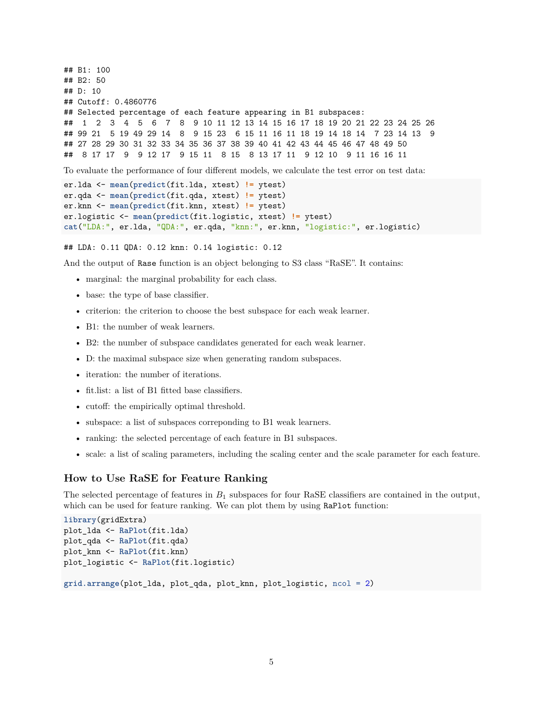```
## B1: 100
## B2: 50
## D: 10
## Cutoff: 0.4860776
## Selected percentage of each feature appearing in B1 subspaces:
## 1 2 3 4 5 6 7 8 9 10 11 12 13 14 15 16 17 18 19 20 21 22 23 24 25 26
## 99 21 5 19 49 29 14 8 9 15 23 6 15 11 16 11 18 19 14 18 14 7 23 14 13 9
## 27 28 29 30 31 32 33 34 35 36 37 38 39 40 41 42 43 44 45 46 47 48 49 50
## 8 17 17 9 9 12 17 9 15 11 8 15 8 13 17 11 9 12 10 9 11 16 16 11
To evaluate the performance of four different models, we calculate the test error on test data:
er.lda <- mean(predict(fit.lda, xtest) != ytest)
er.qda <- mean(predict(fit.qda, xtest) != ytest)
er.knn <- mean(predict(fit.knn, xtest) != ytest)
er.logistic <- mean(predict(fit.logistic, xtest) != ytest)
```
## LDA: 0.11 QDA: 0.12 knn: 0.14 logistic: 0.12

And the output of Rase function is an object belonging to S3 class "RaSE". It contains:

**cat**("LDA:", er.lda, "QDA:", er.qda, "knn:", er.knn, "logistic:", er.logistic)

- marginal: the marginal probability for each class.
- base: the type of base classifier.
- criterion: the criterion to choose the best subspace for each weak learner.
- B1: the number of weak learners.
- B2: the number of subspace candidates generated for each weak learner.
- D: the maximal subspace size when generating random subspaces.
- iteration: the number of iterations.
- fit.list: a list of B1 fitted base classifiers.
- cutoff: the empirically optimal threshold.
- subspace: a list of subspaces correponding to B1 weak learners.
- ranking: the selected percentage of each feature in B1 subspaces.
- <span id="page-4-0"></span>• scale: a list of scaling parameters, including the scaling center and the scale parameter for each feature.

#### **How to Use RaSE for Feature Ranking**

The selected percentage of features in *B*<sup>1</sup> subspaces for four RaSE classifiers are contained in the output, which can be used for feature ranking. We can plot them by using RaPlot function:

```
library(gridExtra)
plot_lda <- RaPlot(fit.lda)
plot_qda <- RaPlot(fit.qda)
plot_knn <- RaPlot(fit.knn)
plot_logistic <- RaPlot(fit.logistic)
grid.arrange(plot_lda, plot_qda, plot_knn, plot_logistic, ncol = 2)
```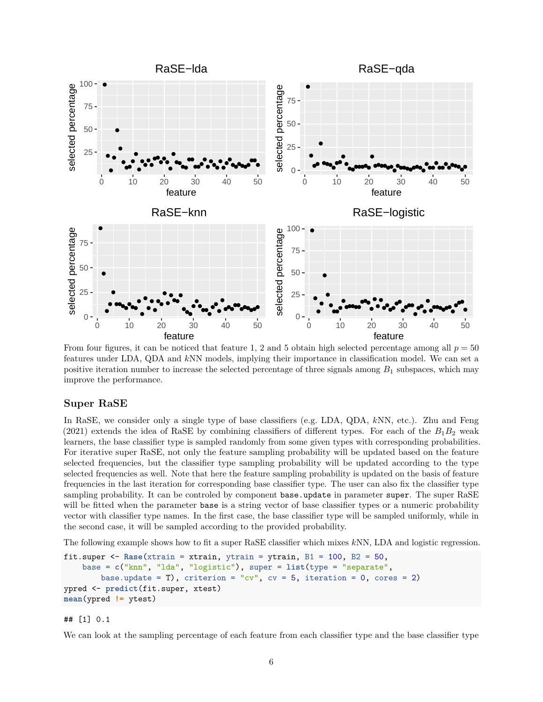

From four figures, it can be noticed that feature 1, 2 and 5 obtain high selected percentage among all  $p = 50$ features under LDA, QDA and *k*NN models, implying their importance in classification model. We can set a positive iteration number to increase the selected percentage of three signals among *B*<sup>1</sup> subspaces, which may improve the performance.

### <span id="page-5-0"></span>**Super RaSE**

In RaSE, we consider only a single type of base classifiers (e.g. LDA, QDA, *k*NN, etc.). Zhu and Feng (2021) extends the idea of RaSE by combining classifiers of different types. For each of the  $B_1B_2$  weak learners, the base classifier type is sampled randomly from some given types with corresponding probabilities. For iterative super RaSE, not only the feature sampling probability will be updated based on the feature selected frequencies, but the classifier type sampling probability will be updated according to the type selected frequencies as well. Note that here the feature sampling probability is updated on the basis of feature frequencies in the last iteration for corresponding base classifier type. The user can also fix the classifier type sampling probability. It can be controled by component base update in parameter super. The super RaSE will be fitted when the parameter base is a string vector of base classifier types or a numeric probability vector with classifier type names. In the first case, the base classifier type will be sampled uniformly, while in the second case, it will be sampled according to the provided probability.

The following example shows how to fit a super RaSE classifier which mixes *k*NN, LDA and logistic regression.

```
fit.super <- Rase(xtrain = xtrain, ytrain = ytrain, B1 = 100, B2 = 50,
    base = c("knn", "lda", "logistic"), super = list(type = "separate",
        base.update = T), criterion = "cv", cv = 5, iteration = 0, cores = 2)
ypred <- predict(fit.super, xtest)
mean(ypred != ytest)
```
## [1] 0.1

We can look at the sampling percentage of each feature from each classifier type and the base classifier type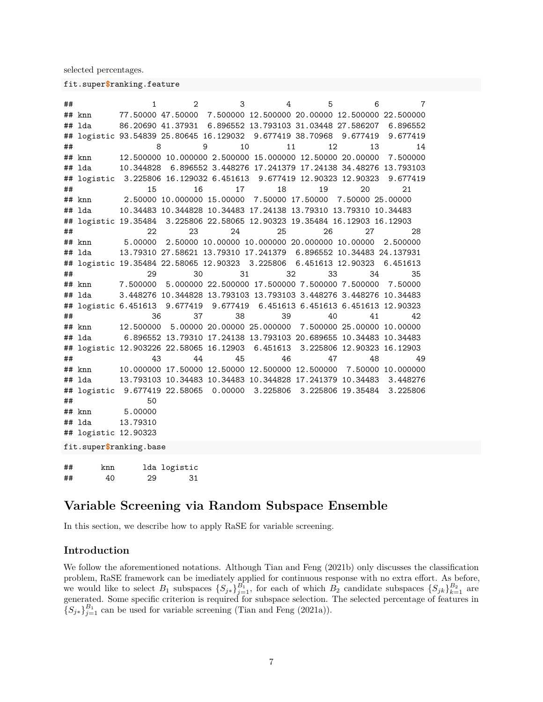selected percentages.

fit.super**\$**ranking.feature

## 1 2 3 4 5 6 7 ## knn 77.50000 47.50000 7.500000 12.500000 20.00000 12.500000 22.500000 ## lda 86.20690 41.37931 6.896552 13.793103 31.03448 27.586207 6.896552 ## logistic 93.54839 25.80645 16.129032 9.677419 38.70968 9.677419 9.677419 ## 8 9 10 11 12 13 14 ## knn 12.500000 10.000000 2.500000 15.000000 12.50000 20.00000 7.500000 ## lda 10.344828 6.896552 3.448276 17.241379 17.24138 34.48276 13.793103 ## logistic 3.225806 16.129032 6.451613 9.677419 12.90323 12.90323 9.677419 ## 15 16 17 18 19 20 21 ## knn 2.50000 10.000000 15.00000 7.50000 17.50000 7.50000 25.00000 ## lda 10.34483 10.344828 10.34483 17.24138 13.79310 13.79310 10.34483 ## logistic 19.35484 3.225806 22.58065 12.90323 19.35484 16.12903 16.12903 ## 22 23 24 25 26 27 28 ## knn 5.00000 2.50000 10.00000 10.000000 20.000000 10.00000 2.500000 ## lda 13.79310 27.58621 13.79310 17.241379 6.896552 10.34483 24.137931 ## logistic 19.35484 22.58065 12.90323 3.225806 6.451613 12.90323 6.451613 ## 29 30 31 32 33 34 35 ## knn 7.500000 5.000000 22.500000 17.500000 7.500000 7.500000 7.50000 ## lda 3.448276 10.344828 13.793103 13.793103 3.448276 3.448276 10.34483 ## logistic 6.451613 9.677419 9.677419 6.451613 6.451613 6.451613 12.90323 ## 36 37 38 39 40 41 42 ## knn 12.500000 5.00000 20.00000 25.000000 7.500000 25.00000 10.00000 ## lda 6.896552 13.79310 17.24138 13.793103 20.689655 10.34483 10.34483 ## logistic 12.903226 22.58065 16.12903 6.451613 3.225806 12.90323 16.12903 ## 43 44 45 46 47 48 49 ## knn 10.000000 17.50000 12.50000 12.500000 12.500000 7.50000 10.000000 ## lda 13.793103 10.34483 10.34483 10.344828 17.241379 10.34483 3.448276 ## logistic 9.677419 22.58065 0.00000 3.225806 3.225806 19.35484 3.225806 ## 50 ## knn 5.00000 ## lda 13.79310 ## logistic 12.90323 fit.super**\$**ranking.base ## knn lda logistic ## 40 29 31

# <span id="page-6-0"></span>**Variable Screening via Random Subspace Ensemble**

<span id="page-6-1"></span>In this section, we describe how to apply RaSE for variable screening.

# **Introduction**

<span id="page-6-2"></span>We follow the aforementioned notations. Although Tian and Feng (2021b) only discusses the classification problem, RaSE framework can be imediately applied for continuous response with no extra effort. As before, we would like to select  $B_1$  subspaces  $\{S_{j*}\}_{j=1}^{B_1}$ , for each of which  $B_2$  candidate subspaces  $\{S_{jk}\}_{k=1}^{B_2}$  are generated. Some specific criterion is required for subspace selection. The selected percentage of features in  ${S_{j*}}_{j=1}^{B_1}$  can be used for variable screening (Tian and Feng (2021a)).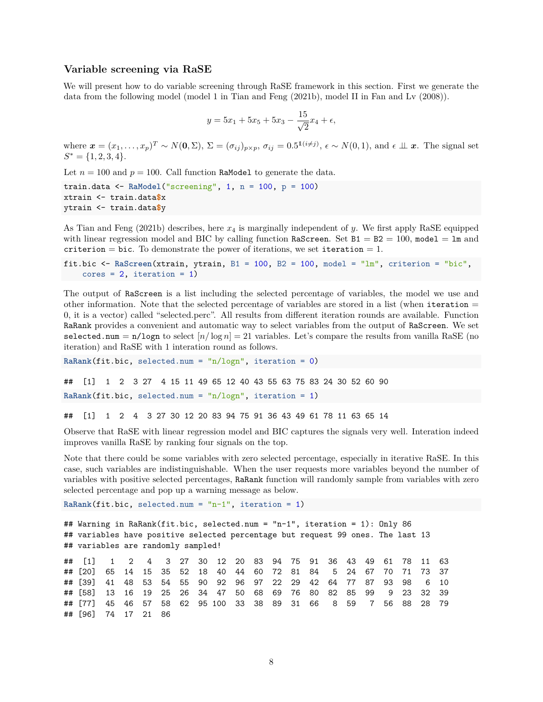#### **Variable screening via RaSE**

We will present how to do variable screening through RaSE framework in this section. First we generate the data from the following model (model 1 in Tian and Feng (2021b), model II in Fan and Lv (2008)).

$$
y = 5x_1 + 5x_5 + 5x_3 - \frac{15}{\sqrt{2}}x_4 + \epsilon,
$$

where  $\mathbf{x} = (x_1, \ldots, x_p)^T \sim N(\mathbf{0}, \Sigma)$ ,  $\Sigma = (\sigma_{ij})_{p \times p}$ ,  $\sigma_{ij} = 0.5^{\mathbf{1}(i \neq j)}$ ,  $\epsilon \sim N(0, 1)$ , and  $\epsilon \perp \mathbf{x}$ . The signal set  $S^* = \{1, 2, 3, 4\}.$ 

Let  $n = 100$  and  $p = 100$ . Call function RaModel to generate the data.

train.data <- **RaModel**("screening", 1, n = 100, p = 100) xtrain <- train.data**\$**x ytrain <- train.data**\$**y

As Tian and Feng (2021b) describes, here *x*<sup>4</sup> is marginally independent of *y*. We first apply RaSE equipped with linear regression model and BIC by calling function RaScreen. Set  $B1 = B2 = 100$ , model = 1m and criterion = bic. To demonstrate the power of iterations, we set iteration = 1.

```
fit.bic <- RaScreen(xtrain, ytrain, B1 = 100, B2 = 100, model = "lm", criterion = "bic",
    cores = 2, iteration = 1)
```
The output of RaScreen is a list including the selected percentage of variables, the model we use and other information. Note that the selected percentage of variables are stored in a list (when iteration  $=$ 0, it is a vector) called "selected.perc". All results from different iteration rounds are available. Function RaRank provides a convenient and automatic way to select variables from the output of RaScreen. We set selected.num =  $n/logn$  to select  $[n/logn] = 21$  variables. Let's compare the results from vanilla RaSE (no iteration) and RaSE with 1 interation round as follows.

**RaRank**(fit.bic, selected.num = "n/logn", iteration = 0)

```
## [1] 1 2 3 27 4 15 11 49 65 12 40 43 55 63 75 83 24 30 52 60 90
RaRank(fit.bic, selected.num = "n/logn", iteration = 1)
```
## [1] 1 2 4 3 27 30 12 20 83 94 75 91 36 43 49 61 78 11 63 65 14

Observe that RaSE with linear regression model and BIC captures the signals very well. Interation indeed improves vanilla RaSE by ranking four signals on the top.

Note that there could be some variables with zero selected percentage, especially in iterative RaSE. In this case, such variables are indistinguishable. When the user requests more variables beyond the number of variables with positive selected percentages, RaRank function will randomly sample from variables with zero selected percentage and pop up a warning message as below.

```
RaRank(fit.bic, selected.num = "n-1", iteration = 1)
```

```
## Warning in RaRank(fit.bic, selected.num = "n-1", iteration = 1): Only 86
## variables have positive selected percentage but request 99 ones. The last 13
## variables are randomly sampled!
## [1] 1 2 4 3 27 30 12 20 83 94 75 91 36 43 49 61 78 11 63
## [20] 65 14 15 35 52 18 40 44 60 72 81 84 5 24 67 70 71 73 37
## [39] 41 48 53 54 55 90 92 96 97 22 29 42 64 77 87 93 98 6 10
## [58] 13 16 19 25 26 34 47 50 68 69 76 80 82 85 99 9 23 32 39
## [77] 45 46 57 58 62 95 100 33 38 89 31 66 8 59 7 56 88 28 79
## [96] 74 17 21 86
```